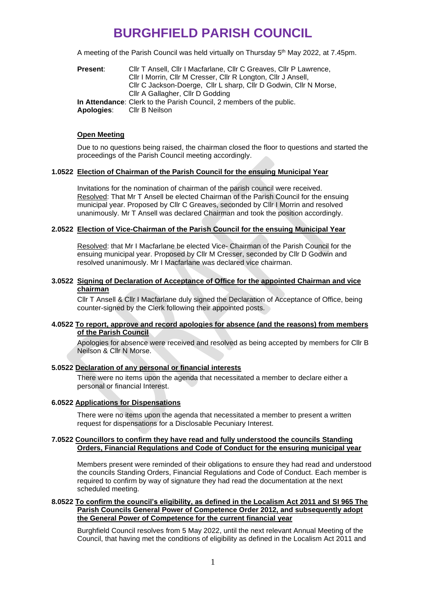A meeting of the Parish Council was held virtually on Thursday 5<sup>th</sup> May 2022, at 7.45pm.

| <b>Present:</b> | Cllr T Ansell, Cllr I Macfarlane, Cllr C Greaves, Cllr P Lawrence,   |
|-----------------|----------------------------------------------------------------------|
|                 | Cllr I Morrin, Cllr M Cresser, Cllr R Longton, Cllr J Ansell,        |
|                 | Cllr C Jackson-Doerge, Cllr L sharp, Cllr D Godwin, Cllr N Morse,    |
|                 | Cllr A Gallagher, Cllr D Godding                                     |
|                 | In Attendance: Clerk to the Parish Council, 2 members of the public. |
| Apologies:      | CIIr B Neilson                                                       |

#### **Open Meeting**

Due to no questions being raised, the chairman closed the floor to questions and started the proceedings of the Parish Council meeting accordingly.

## **1.0522 Election of Chairman of the Parish Council for the ensuing Municipal Year**

Invitations for the nomination of chairman of the parish council were received. Resolved: That Mr T Ansell be elected Chairman of the Parish Council for the ensuing municipal year. Proposed by Cllr C Greaves, seconded by Cllr I Morrin and resolved unanimously. Mr T Ansell was declared Chairman and took the position accordingly.

## **2.0522 Election of Vice-Chairman of the Parish Council for the ensuing Municipal Year**

Resolved: that Mr I Macfarlane be elected Vice- Chairman of the Parish Council for the ensuing municipal year. Proposed by Cllr M Cresser, seconded by Cllr D Godwin and resolved unanimously. Mr I Macfarlane was declared vice chairman.

## **3.0522 Signing of Declaration of Acceptance of Office for the appointed Chairman and vice chairman**

Cllr T Ansell & Cllr I Macfarlane duly signed the Declaration of Acceptance of Office, being counter-signed by the Clerk following their appointed posts.

## **4.0522 To report, approve and record apologies for absence (and the reasons) from members of the Parish Council**

Apologies for absence were received and resolved as being accepted by members for Cllr B Neilson & Cllr N Morse.

#### **5.0522 Declaration of any personal or financial interests**

There were no items upon the agenda that necessitated a member to declare either a personal or financial Interest.

#### **6.0522 Applications for Dispensations**

There were no items upon the agenda that necessitated a member to present a written request for dispensations for a Disclosable Pecuniary Interest.

#### **7.0522 Councillors to confirm they have read and fully understood the councils Standing Orders, Financial Regulations and Code of Conduct for the ensuring municipal year**

Members present were reminded of their obligations to ensure they had read and understood the councils Standing Orders, Financial Regulations and Code of Conduct. Each member is required to confirm by way of signature they had read the documentation at the next scheduled meeting.

## **8.0522 To confirm the council's eligibility, as defined in the Localism Act 2011 and SI 965 The Parish Councils General Power of Competence Order 2012, and subsequently adopt the General Power of Competence for the current financial year**

Burghfield Council resolves from 5 May 2022, until the next relevant Annual Meeting of the Council, that having met the conditions of eligibility as defined in the Localism Act 2011 and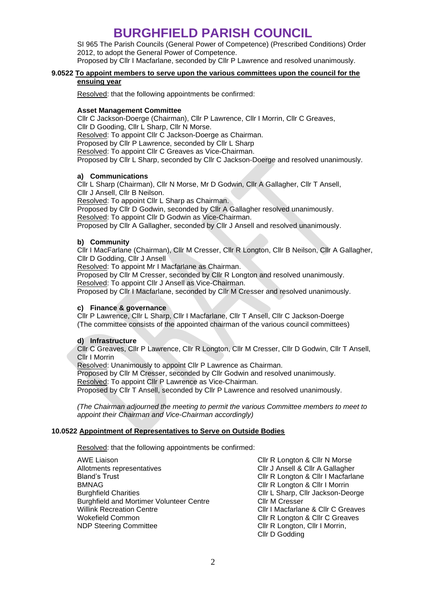SI 965 The Parish Councils (General Power of Competence) (Prescribed Conditions) Order 2012, to adopt the General Power of Competence.

Proposed by Cllr I Macfarlane, seconded by Cllr P Lawrence and resolved unanimously.

## **9.0522 To appoint members to serve upon the various committees upon the council for the ensuing year**

Resolved: that the following appointments be confirmed:

## **Asset Management Committee**

Cllr C Jackson-Doerge (Chairman), Cllr P Lawrence, Cllr I Morrin, Cllr C Greaves, Cllr D Gooding, Cllr L Sharp, Cllr N Morse. Resolved: To appoint Cllr C Jackson-Doerge as Chairman. Proposed by Cllr P Lawrence, seconded by Cllr L Sharp Resolved: To appoint Cllr C Greaves as Vice-Chairman. Proposed by Cllr L Sharp, seconded by Cllr C Jackson-Doerge and resolved unanimously.

## **a) Communications**

Cllr L Sharp (Chairman), Cllr N Morse, Mr D Godwin, Cllr A Gallagher, Cllr T Ansell, Cllr J Ansell, Cllr B Neilson.

Resolved: To appoint Cllr L Sharp as Chairman.

Proposed by Cllr D Godwin, seconded by Cllr A Gallagher resolved unanimously. Resolved: To appoint Cllr D Godwin as Vice-Chairman.

Proposed by Cllr A Gallagher, seconded by Cllr J Ansell and resolved unanimously.

## **b) Community**

Cllr I MacFarlane (Chairman), Cllr M Cresser, Cllr R Longton, Cllr B Neilson, Cllr A Gallagher, Cllr D Godding, Cllr J Ansell

Resolved: To appoint Mr I Macfarlane as Chairman.

Proposed by Cllr M Cresser, seconded by Cllr R Longton and resolved unanimously. Resolved: To appoint Cllr J Ansell as Vice-Chairman.

Proposed by Cllr I Macfarlane, seconded by Cllr M Cresser and resolved unanimously.

## **c) Finance & governance**

Cllr P Lawrence, Cllr L Sharp, Cllr I Macfarlane, Cllr T Ansell, Cllr C Jackson-Doerge (The committee consists of the appointed chairman of the various council committees)

## **d) Infrastructure**

Cllr C Greaves, Cllr P Lawrence, Cllr R Longton, Cllr M Cresser, Cllr D Godwin, Cllr T Ansell, Cllr I Morrin

Resolved: Unanimously to appoint Cllr P Lawrence as Chairman.

Proposed by Cllr M Cresser, seconded by Cllr Godwin and resolved unanimously.

Resolved: To appoint Cllr P Lawrence as Vice-Chairman.

Proposed by Cllr T Ansell, seconded by Cllr P Lawrence and resolved unanimously.

*(The Chairman adjourned the meeting to permit the various Committee members to meet to appoint their Chairman and Vice-Chairman accordingly)*

#### **10.0522 Appointment of Representatives to Serve on Outside Bodies**

Resolved: that the following appointments be confirmed:

AWE Liaison **Container Clip Accepts** Clir R Longton & Clir N Morse Allotments representatives **Cllr J Ansell & Cllr A Gallagher** Bland's Trust **Clir R** Longton & Clir I Macfarlane<br>BMNAG **Clir R** Longton & Clir I Morrin Burghfield Charities **Clir L Sharp, Clir Jackson-Deorge** Burghfield and Mortimer Volunteer Centre Cllr M Cresser Willink Recreation Centre **Clir I Macfarlane & Clir C Greaves** Clir C Greaves Wokefield Common **Clir R** Longton & Clir C Greaves NDP Steering Committee **Clir R** Longton, Clir I Morrin,

Cllr R Longton & Cllr I Morrin Cllr D Godding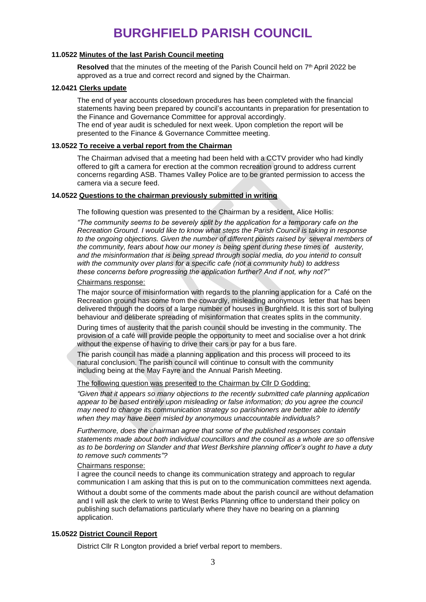## **11.0522 Minutes of the last Parish Council meeting**

Resolved that the minutes of the meeting of the Parish Council held on 7<sup>th</sup> April 2022 be approved as a true and correct record and signed by the Chairman.

#### **12.0421 Clerks update**

The end of year accounts closedown procedures has been completed with the financial statements having been prepared by council's accountants in preparation for presentation to the Finance and Governance Committee for approval accordingly. The end of year audit is scheduled for next week. Upon completion the report will be presented to the Finance & Governance Committee meeting.

#### **13.0522 To receive a verbal report from the Chairman**

The Chairman advised that a meeting had been held with a CCTV provider who had kindly offered to gift a camera for erection at the common recreation ground to address current concerns regarding ASB. Thames Valley Police are to be granted permission to access the camera via a secure feed.

#### **14.0522 Questions to the chairman previously submitted in writing**

The following question was presented to the Chairman by a resident, Alice Hollis:

*"The community seems to be severely split by the application for a temporary cafe on the Recreation Ground. I would like to know what steps the Parish Council is taking in response to the ongoing objections. Given the number of different points raised by several members of the community, fears about how our money is being spent during these times of austerity, and the misinformation that is being spread through social media, do you intend to consult with the community over plans for a specific cafe (not a community hub) to address these concerns before progressing the application further? And if not, why not?"*

#### Chairmans response:

The major source of misinformation with regards to the planning application for a Café on the Recreation ground has come from the cowardly, misleading anonymous letter that has been delivered through the doors of a large number of houses in Burghfield. It is this sort of bullying behaviour and deliberate spreading of misinformation that creates splits in the community.

During times of austerity that the parish council should be investing in the community. The provision of a café will provide people the opportunity to meet and socialise over a hot drink without the expense of having to drive their cars or pay for a bus fare.

The parish council has made a planning application and this process will proceed to its natural conclusion. The parish council will continue to consult with the community including being at the May Fayre and the Annual Parish Meeting.

#### The following question was presented to the Chairman by Cllr D Godding:

*"Given that it appears so many objections to the recently submitted cafe planning application*  appear to be based entirely upon misleading or false information; do you agree the council *may need to change its communication strategy so parishioners are better able to identify when they may have been misled by anonymous unaccountable individuals?* 

*Furthermore, does the chairman agree that some of the published responses contain statements made about both individual councillors and the council as a whole are so offensive as to be bordering on Slander and that West Berkshire planning officer's ought to have a duty to remove such comments"?*

#### Chairmans response:

I agree the council needs to change its communication strategy and approach to regular communication I am asking that this is put on to the communication committees next agenda.

Without a doubt some of the comments made about the parish council are without defamation and I will ask the clerk to write to West Berks Planning office to understand their policy on publishing such defamations particularly where they have no bearing on a planning application.

## **15.0522 District Council Report**

District Cllr R Longton provided a brief verbal report to members.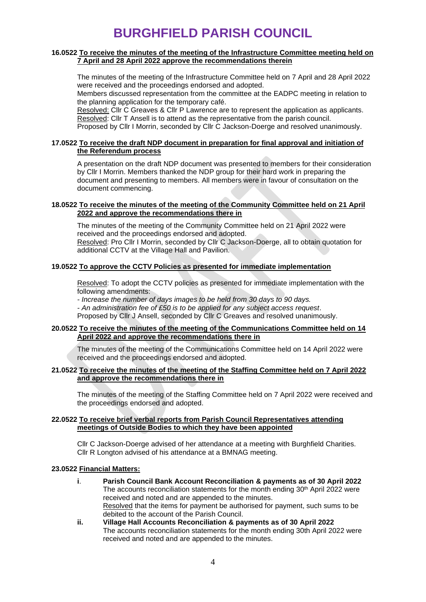#### **16.0522 To receive the minutes of the meeting of the Infrastructure Committee meeting held on 7 April and 28 April 2022 approve the recommendations therein**

The minutes of the meeting of the Infrastructure Committee held on 7 April and 28 April 2022 were received and the proceedings endorsed and adopted.

Members discussed representation from the committee at the EADPC meeting in relation to the planning application for the temporary café.

Resolved: Cllr C Greaves & Cllr P Lawrence are to represent the application as applicants. Resolved: Cllr T Ansell is to attend as the representative from the parish council. Proposed by Cllr I Morrin, seconded by Cllr C Jackson-Doerge and resolved unanimously.

**17.0522 To receive the draft NDP document in preparation for final approval and initiation of** 

# **the Referendum process**

A presentation on the draft NDP document was presented to members for their consideration by Cllr I Morrin. Members thanked the NDP group for their hard work in preparing the document and presenting to members. All members were in favour of consultation on the document commencing.

## **18.0522 To receive the minutes of the meeting of the Community Committee held on 21 April 2022 and approve the recommendations there in**

The minutes of the meeting of the Community Committee held on 21 April 2022 were received and the proceedings endorsed and adopted. Resolved: Pro Cllr I Morrin, seconded by Cllr C Jackson-Doerge, all to obtain quotation for additional CCTV at the Village Hall and Pavilion.

## **19.0522 To approve the CCTV Policies as presented for immediate implementation**

Resolved: To adopt the CCTV policies as presented for immediate implementation with the following amendments:

*- Increase the number of days images to be held from 30 days to 90 days.* 

*- An administration fee of £50 is to be applied for any subject access request*.

Proposed by Cllr J Ansell, seconded by Cllr C Greaves and resolved unanimously.

## **20.0522 To receive the minutes of the meeting of the Communications Committee held on 14 April 2022 and approve the recommendations there in**

The minutes of the meeting of the Communications Committee held on 14 April 2022 were received and the proceedings endorsed and adopted.

## **21.0522 To receive the minutes of the meeting of the Staffing Committee held on 7 April 2022 and approve the recommendations there in**

The minutes of the meeting of the Staffing Committee held on 7 April 2022 were received and the proceedings endorsed and adopted.

## **22.0522 To receive brief verbal reports from Parish Council Representatives attending meetings of Outside Bodies to which they have been appointed**

Cllr C Jackson-Doerge advised of her attendance at a meeting with Burghfield Charities. Cllr R Longton advised of his attendance at a BMNAG meeting.

## **23.0522 Financial Matters:**

- **i**. **Parish Council Bank Account Reconciliation & payments as of 30 April 2022** The accounts reconciliation statements for the month ending  $30<sup>th</sup>$  April 2022 were received and noted and are appended to the minutes. Resolved that the items for payment be authorised for payment, such sums to be debited to the account of the Parish Council.
- **ii. Village Hall Accounts Reconciliation & payments as of 30 April 2022** The accounts reconciliation statements for the month ending 30th April 2022 were received and noted and are appended to the minutes.